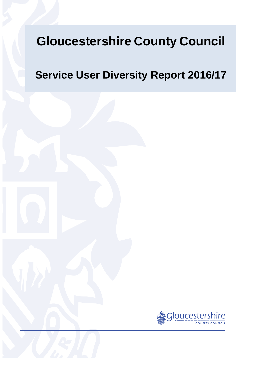# **Gloucestershire County Council**

# **Service User Diversity Report 2016/17**

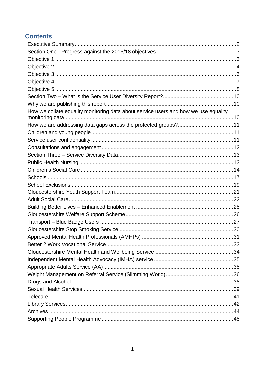# **Contents**

| How we collate equality monitoring data about service users and how we use equality |  |
|-------------------------------------------------------------------------------------|--|
|                                                                                     |  |
| How we are addressing data gaps across the protected groups?11                      |  |
|                                                                                     |  |
|                                                                                     |  |
|                                                                                     |  |
|                                                                                     |  |
|                                                                                     |  |
|                                                                                     |  |
|                                                                                     |  |
|                                                                                     |  |
|                                                                                     |  |
|                                                                                     |  |
|                                                                                     |  |
|                                                                                     |  |
|                                                                                     |  |
|                                                                                     |  |
|                                                                                     |  |
|                                                                                     |  |
|                                                                                     |  |
|                                                                                     |  |
|                                                                                     |  |
|                                                                                     |  |
|                                                                                     |  |
|                                                                                     |  |
|                                                                                     |  |
|                                                                                     |  |
|                                                                                     |  |
|                                                                                     |  |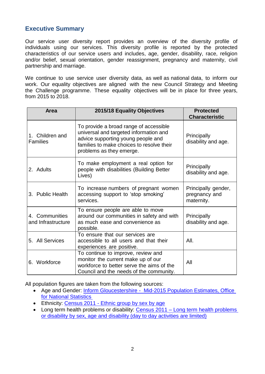# <span id="page-2-0"></span>**Executive Summary**

Our service user diversity report provides an overview of the diversity profile of individuals using our services. This diversity profile is reported by the protected characteristics of our service users and includes, age, gender, disability, race, religion and/or belief, sexual orientation, gender reassignment, pregnancy and maternity, civil partnership and marriage.

We continue to use service user diversity data, as well as national data, to inform our work. Our equality objectives are aligned with the new Council Strategy and Meeting the Challenge programme. These equality objectives will be in place for three years, from 2015 to 2018.

| <b>Area</b>                          | 2015/18 Equality Objectives                                                                                                                                                                     | <b>Protected</b><br><b>Characteristic</b>          |
|--------------------------------------|-------------------------------------------------------------------------------------------------------------------------------------------------------------------------------------------------|----------------------------------------------------|
| 1. Children and<br><b>Families</b>   | To provide a broad range of accessible<br>universal and targeted information and<br>advice supporting young people and<br>families to make choices to resolve their<br>problems as they emerge. | Principally<br>disability and age.                 |
| 2. Adults                            | To make employment a real option for<br>people with disabilities (Building Better<br>Lives)                                                                                                     | Principally<br>disability and age.                 |
| 3. Public Health                     | To increase numbers of pregnant women<br>accessing support to 'stop smoking'<br>services.                                                                                                       | Principally gender,<br>pregnancy and<br>maternity. |
| 4. Communities<br>and Infrastructure | To ensure people are able to move<br>around our communities in safety and with<br>as much ease and convenience as<br>possible.                                                                  | Principally<br>disability and age.                 |
| 5. All Services                      | To ensure that our services are<br>accessible to all users and that their<br>experiences are positive.                                                                                          | All.                                               |
| 6. Workforce                         | To continue to improve, review and<br>monitor the current make up of our<br>workforce to better serve the aims of the<br>Council and the needs of the community.                                | All                                                |

All population figures are taken from the following sources:

- Age and Gender: Inform Gloucestershire [Mid-2015 Population Estimates, Office](https://inform.gloucestershire.gov.uk/viewpage.aspx?c=page&page=Population-CurrentPopulation)  [for National Statistics](https://inform.gloucestershire.gov.uk/viewpage.aspx?c=page&page=Population-CurrentPopulation)
- Ethnicity: Census 2011 [Ethnic group by sex by age](https://www.nomisweb.co.uk/census/2011/dc2101ew)
- [Long term health problems](https://www.nomisweb.co.uk/census/2011/lc3101ewls) or disability: Census 2011 Long term health problems [or disability by sex, age and disability](https://www.nomisweb.co.uk/census/2011/lc3101ewls) (day to day activities are limited)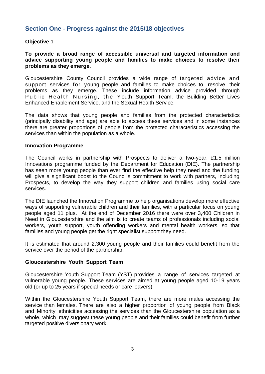## <span id="page-3-0"></span>**Section One - Progress against the 2015/18 objectives**

#### <span id="page-3-1"></span>**Objective 1**

**To provide a broad range of accessible universal and targeted information and advice supporting young people and families to make choices to resolve their problems as they emerge.**

Gloucestershire County Council provides a wide range of targeted advice and support services for young people and families to make choices to resolve their problems as they emerge. These include information advice provided through Public Health Nursing, the Youth Support Team, the Building Better Lives Enhanced Enablement Service, and the Sexual Health Service.

The data shows that young people and families from the protected characteristics (principally disability and age) are able to access these services and in some instances there are greater proportions of people from the protected characteristics accessing the services than within the population as a whole.

#### **Innovation Programme**

The Council works in partnership with Prospects to deliver a two-year, £1.5 million Innovations programme funded by the Department for Education (DfE). The partnership has seen more young people than ever find the effective help they need and the funding will give a significant boost to the Council's commitment to work with partners, including Prospects, to develop the way they support children and families using social care services.

The DfE launched the Innovation Programme to help organisations develop more effective ways of supporting vulnerable children and their families, with a particular focus on young people aged 11 plus. At the end of December 2016 there were over 3,400 Children in Need in Gloucestershire and the aim is to create teams of professionals including social workers, youth support, youth offending workers and mental health workers, so that families and young people get the right specialist support they need.

It is estimated that around 2,300 young people and their families could benefit from the service over the period of the partnership.

#### **Gloucestershire Youth Support Team**

Gloucestershire Youth Support Team (YST) provides a range of services targeted at vulnerable young people. These services are aimed at young people aged 10-19 years old (or up to 25 years if special needs or care leavers).

Within the Gloucestershire Youth Support Team, there are more males accessing the service than females. There are also a higher proportion of young people from Black and Minority ethnicities accessing the services than the Gloucestershire population as a whole, which may suggest these young people and their families could benefit from further targeted positive diversionary work.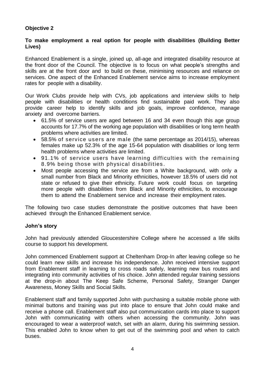## <span id="page-4-0"></span>**Objective 2**

#### **To make employment a real option for people with disabilities (Building Better Lives)**

Enhanced Enablement is a single, joined up, all-age and integrated disability resource at the front door of the Council. The objective is to focus on what people's strengths and skills are at the front door and to build on these, minimising resources and reliance on services. One aspect of the Enhanced Enablement service aims to increase employment rates for people with a disability.

Our Work Clubs provide help with CVs, job applications and interview skills to help people with disabilities or health conditions find sustainable paid work. They also provide career help to identify skills and job goals, improve confidence, manage anxiety and overcome barriers.

- 61.5% of service users are aged between 16 and 34 even though this age group accounts for 17.7% of the working age population with disabilities or long term health problems where activities are limited.
- 58.5% of service users are male (the same percentage as 2014/15), whereas females make up 52.3% of the age 15-64 population with disabilities or long term health problems where activities are limited.
- 91.1% of service users have learning difficulties with the remaining 8.9% being those with physical disabilities .
- Most people accessing the service are from a White background, with only a small number from Black and Minority ethnicities, however 18.5% of users did not state or refused to give their ethnicity. Future work could focus on targeting more people with disabilities from Black and Minority ethnicities, to encourage them to attend the Enablement service and increase their employment rates.

The following two case studies demonstrate the positive outcomes that have been achieved through the Enhanced Enablement service.

#### **John's story**

John had previously attended Gloucestershire College where he accessed a life skills course to support his development.

John commenced Enablement support at Cheltenham Drop-In after leaving college so he could learn new skills and increase his independence. John received intensive support from Enablement staff in learning to cross roads safely, learning new bus routes and integrating into community activities of his choice. John attended regular training sessions at the drop-in about The Keep Safe Scheme, Personal Safety, Stranger Danger Awareness, Money Skills and Social Skills.

Enablement staff and family supported John with purchasing a suitable mobile phone with minimal buttons and training was put into place to ensure that John could make and receive a phone call. Enablement staff also put communication cards into place to support John with communicating with others when accessing the community. John was encouraged to wear a waterproof watch, set with an alarm, during his swimming session. This enabled John to know when to get out of the swimming pool and when to catch buses.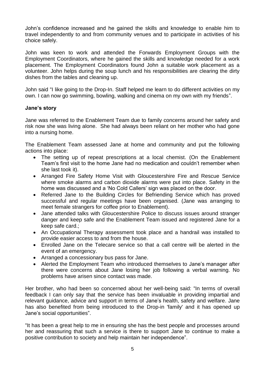John's confidence increased and he gained the skills and knowledge to enable him to travel independently to and from community venues and to participate in activities of his choice safely.

John was keen to work and attended the Forwards Employment Groups with the Employment Coordinators, where he gained the skills and knowledge needed for a work placement. The Employment Coordinators found John a suitable work placement as a volunteer. John helps during the soup lunch and his responsibilities are clearing the dirty dishes from the tables and cleaning up.

John said "I like going to the Drop-In. Staff helped me learn to do different activities on my own. I can now go swimming, bowling, walking and cinema on my own with my friends".

#### **Jane's story**

Jane was referred to the Enablement Team due to family concerns around her safety and risk now she was living alone. She had always been reliant on her mother who had gone into a nursing home.

The Enablement Team assessed Jane at home and community and put the following actions into place:

- The setting up of repeat prescriptions at a local chemist. (On the Enablement Team's first visit to the home Jane had no medication and couldn't remember when she last took it).
- Arranged Fire Safety Home Visit with Gloucestershire Fire and Rescue Service where smoke alarms and carbon dioxide alarms were put into place. Safety in the home was discussed and a 'No Cold Callers' sign was placed on the door.
- Referred Jane to the Building Circles for Befriending Service which has proved successful and regular meetings have been organised. (Jane was arranging to meet female strangers for coffee prior to Enablement).
- Jane attended talks with Gloucestershire Police to discuss issues around stranger danger and keep safe and the Enablement Team issued and registered Jane for a keep safe card.;
- An Occupational Therapy assessment took place and a handrail was installed to provide easier access to and from the house.
- Enrolled Jane on the Telecare service so that a call centre will be alerted in the event of an emergency.
- Arranged a concessionary bus pass for Jane.
- Alerted the Employment Team who introduced themselves to Jane's manager after there were concerns about Jane losing her job following a verbal warning. No problems have arisen since contact was made.

Her brother, who had been so concerned about her well-being said: "In terms of overall feedback I can only say that the service has been invaluable in providing impartial and relevant guidance, advice and support in terms of Jane's health, safety and welfare. Jane has also benefited from being introduced to the Drop-in 'family' and it has opened up Jane's social opportunities".

"It has been a great help to me in ensuring she has the best people and processes around her and reassuring that such a service is there to support Jane to continue to make a positive contribution to society and help maintain her independence".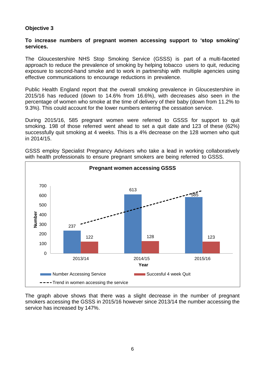#### <span id="page-6-0"></span>**Objective 3**

#### **To increase numbers of pregnant women accessing support to 'stop smoking' services.**

The Gloucestershire NHS Stop Smoking Service (GSSS) is part of a multi-faceted approach to reduce the prevalence of smoking by helping tobacco users to quit, reducing exposure to second-hand smoke and to work in partnership with multiple agencies using effective communications to encourage reductions in prevalence.

Public Health England report that the overall smoking prevalence in Gloucestershire in 2015/16 has reduced (down to 14.6% from 16.6%), with decreases also seen in the percentage of women who smoke at the time of delivery of their baby (down from 11.2% to 9.3%). This could account for the lower numbers entering the cessation service.

During 2015/16, 585 pregnant women were referred to GSSS for support to quit smoking. 198 of those referred went ahead to set a quit date and 123 of these (62%) successfully quit smoking at 4 weeks. This is a 4% decrease on the 128 women who quit in 2014/15.



GSSS employ Specialist Pregnancy Advisers who take a lead in working collaboratively with health professionals to ensure pregnant smokers are being referred to GSSS.

The graph above shows that there was a slight decrease in the number of pregnant smokers accessing the GSSS in 2015/16 however since 2013/14 the number accessing the service has increased by 147%.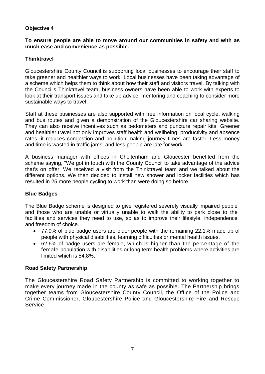## <span id="page-7-0"></span>**Objective 4**

**To ensure people are able to move around our communities in safety and with as much ease and convenience as possible.**

## **Thinktravel**

Gloucestershire County Council is supporting local businesses to encourage their staff to take greener and healthier ways to work. Local businesses have been taking advantage of a scheme which helps them to think about how their staff and visitors travel. By talking with the Council's Thinktravel team, business owners have been able to work with experts to look at their transport issues and take up advice, mentoring and coaching to consider more sustainable ways to travel.

Staff at these businesses are also supported with free information on local cycle, walking and bus routes and given a demonstration of the Gloucestershire car sharing website. They can also receive incentives such as pedometers and puncture repair kits. Greener and healthier travel not only improves staff health and wellbeing, productivity and absence rates, it reduces congestion and pollution making journey times are faster. Less money and time is wasted in traffic jams, and less people are late for work.

A business manager with offices in Cheltenham and Gloucester benefited from the scheme saying, "We got in touch with the County Council to take advantage of the advice that's on offer. We received a visit from the Thinktravel team and we talked about the different options. We then decided to install new shower and locker facilities which has resulted in 25 more people cycling to work than were doing so before."

#### **Blue Badges**

The Blue Badge scheme is designed to give registered severely visually impaired people and those who are unable or virtually unable to walk the ability to park close to the facilities and services they need to use, so as to improve their lifestyle, independence and freedom of choice.

- 77.9% of blue badge users are older people with the remaining 22.1% made up of people with physical disabilities, learning difficulties or mental health issues.
- 62.6% of badge users are female, which is higher than the percentage of the female population with disabilities or long term health problems where activities are limited which is 54.8%.

## **Road Safety Partnership**

The Gloucestershire Road Safety Partnership is committed to working together to make every journey made in the county as safe as possible. The Partnership brings together teams from Gloucestershire County Council, the Office of the Police and Crime Commissioner, Gloucestershire Police and Gloucestershire Fire and Rescue Service.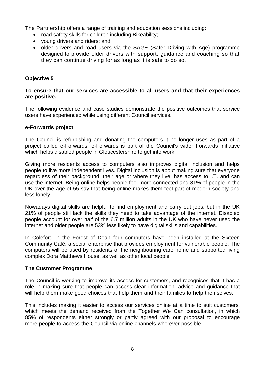The Partnership offers a range of training and education sessions including:

- road safety skills for children including Bikeability;
- young drivers and riders; and
- older drivers and road users via the SAGE (Safer Driving with Age) programme designed to provide older drivers with support, guidance and coaching so that they can continue driving for as long as it is safe to do so.

## <span id="page-8-0"></span>**Objective 5**

#### **To ensure that our services are accessible to all users and that their experiences are positive.**

The following evidence and case studies demonstrate the positive outcomes that service users have experienced while using different Council services.

#### **e-Forwards project**

The Council is refurbishing and donating the computers it no longer uses as part of a project called e-Forwards. e-Forwards is part of the Council's wider Forwards initiative which helps disabled people in Gloucestershire to get into work.

Giving more residents access to computers also improves digital inclusion and helps people to live more independent lives. Digital inclusion is about making sure that everyone regardless of their background, their age or where they live, has access to I.T. and can use the internet. Being online helps people feel more connected and 81% of people in the UK over the age of 55 say that being online makes them feel part of modern society and less lonely.

Nowadays digital skills are helpful to find employment and carry out jobs, but in the UK 21% of people still lack the skills they need to take advantage of the internet. Disabled people account for over half of the 6.7 million adults in the UK who have never used the internet and older people are 53% less likely to have digital skills and capabilities.

In Coleford in the Forest of Dean four computers have been installed at the Sixteen Community Café, a social enterprise that provides employment for vulnerable people. The computers will be used by residents of the neighbouring care home and supported living complex Dora Matthews House, as well as other local people

#### **The Customer Programme**

The Council is working to improve its access for customers, and recognises that it has a role in making sure that people can access clear information, advice and guidance that will help them make good choices that help them and their families to help themselves.

This includes making it easier to access our services online at a time to suit customers, which meets the demand received from the Together We Can consultation, in which 85% of respondents either strongly or partly agreed with our proposal to encourage more people to access the Council via online channels wherever possible.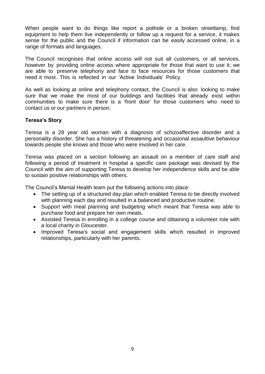When people want to do things like report a pothole or a broken streetlamp, find equipment to help them live independently or follow up a request for a service, it makes sense for the public and the Council if information can be easily accessed online, in a range of formats and languages.

The Council recognises that online access will not suit all customers, or all services, however by providing online access where appropriate for those that want to use it; we are able to preserve telephony and face to face resources for those customers that need it most. This is reflected in our 'Active Individuals' Policy.

As well as looking at online and telephony contact, the Council is also looking to make sure that we make the most of our buildings and facilities that already exist within communities to make sure there is a 'front door' for those customers who need to contact us or our partners in person.

#### **Teresa's Story**

Teresa is a 28 year old woman with a diagnosis of schizoaffective disorder and a personality disorder. She has a history of threatening and occasional assaultive behaviour towards people she knows and those who were involved in her care.

Teresa was placed on a section following an assault on a member of care staff and following a period of treatment in hospital a specific care package was devised by the Council with the aim of supporting Teresa to develop her independence skills and be able to sustain positive relationships with others.

The Council's Mental Health team put the following actions into place:

- The setting up of a structured day plan which enabled Teresa to be directly involved with planning each day and resulted in a balanced and productive routine.
- Support with meal planning and budgeting which meant that Teresa was able to purchase food and prepare her own meals.
- Assisted Teresa in enrolling in a college course and obtaining a volunteer role with a local charity in Gloucester.
- Improved Teresa's social and engagement skills which resulted in improved relationships, particularly with her parents.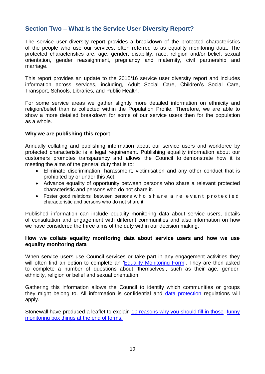# <span id="page-10-0"></span>**Section Two – What is the Service User Diversity Report?**

The service user diversity report provides a breakdown of the protected characteristics of the people who use our services, often referred to as equality monitoring data. The protected characteristics are, age, gender, disability, race, religion and/or belief, sexual orientation, gender reassignment, pregnancy and maternity, civil partnership and marriage.

This report provides an update to the 2015/16 service user diversity report and includes information across services, including, Adult Social Care, Children's Social Care, Transport, Schools, Libraries, and Public Health.

For some service areas we gather slightly more detailed information on ethnicity and religion/belief than is collected within the Population Profile. Therefore, we are able to show a more detailed breakdown for some of our service users then for the population as a whole.

#### <span id="page-10-1"></span>**Why we are publishing this report**

Annually collating and publishing information about our service users and workforce by protected characteristic is a legal requirement. Publishing equality information about our customers promotes transparency and allows the Council to demonstrate how it is meeting the aims of the general duty that is to:

- Eliminate discrimination, harassment, victimisation and any other conduct that is prohibited by or under this Act.
- Advance equality of opportunity between persons who share a relevant protected characteristic and persons who do not share it.
- Foster good relations between persons who share a relevant protected characteristic and persons who do not share it.

Published information can include equality monitoring data about service users, details of consultation and engagement with different communities and also information on how we have considered the three aims of the duty within our decision making.

#### <span id="page-10-2"></span>**How we collate equality monitoring data about service users and how we use equality monitoring data**

When service users use Council services or take part in any engagement activities they will often find an option to complete an 'Equality [Monitoring](http://www.gloucestershire.gov.uk/article/112273/Monitoring) Form'. They are then asked to complete a number of questions about 'themselves', such as their age, gender, ethnicity, religion or belief and sexual orientation.

Gathering this information allows the Council to identify which communities or groups they might belong to. All information is confidential and data [protection](http://www.gloucestershire.gov.uk/dataprotection) regulations will apply.

Stonewall have produced a leaflet to explain [10 reasons](http://www.stonewall.org.uk/sites/default/files/wigtdwy.pdf) why you should fill in those [funny](http://www.stonewall.org.uk/sites/default/files/wigtdwy.pdf) [monitoring](http://www.stonewall.org.uk/sites/default/files/wigtdwy.pdf) box things at the end of forms.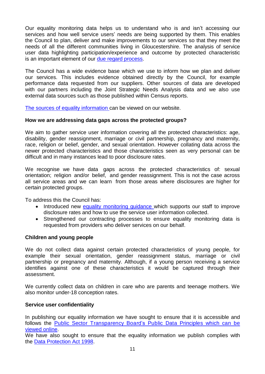Our equality monitoring data helps us to understand who is and isn't accessing our services and how well service users' needs are being supported by them. This enables the Council to plan, deliver and make improvements to our services so that they meet the needs of all the different communities living in Gloucestershire. The analysis of service user data highlighting participation/experience and outcome by protected characteristic is an important element of our due regard [process.](http://www.gloucestershire.gov.uk/article/112283/Decision-making)

The Council has a wide evidence base which we use to inform how we plan and deliver our services. This includes evidence obtained directly by the Council, for example performance data requested from our suppliers. Other sources of data are developed with our partners including the Joint Strategic Needs Analysis data and we also use external data sources such as those published within Census reports.

The sources of equality [information](http://www.gloucestershire.gov.uk/article/112269/Information-and-analysis) can be viewed on our website.

## <span id="page-11-0"></span>**How we are addressing data gaps across the protected groups?**

We aim to gather service user information covering all the protected characteristics: age, disability, gender reassignment, marriage or civil partnership, pregnancy and maternity, race, religion or belief, gender, and sexual orientation. However collating data across the newer protected characteristics and those characteristics seen as very personal can be difficult and in many instances lead to poor disclosure rates.

We recognise we have data gaps across the protected characteristics of: sexual orientation; religion and/or belief, and gender reassignment. This is not the case across all service areas and we can learn from those areas where disclosures are higher for certain protected groups.

To address this the Council has:

- Introduced new equality [monitoring](http://www.gloucestershire.gov.uk/article/112273/Monitoring) guidance which supports our staff to improve disclosure rates and how to use the service user information collected.
- Strengthened our contracting processes to ensure equality monitoring data is requested from providers who deliver services on our behalf.

## <span id="page-11-1"></span>**Children and young people**

We do not collect data against certain protected characteristics of young people, for example their sexual orientation, gender reassignment status, marriage or civil partnership or pregnancy and maternity. Although, if a young person receiving a service identifies against one of these characteristics it would be captured through their assessment.

We currently collect data on children in care who are parents and teenage mothers. We also monitor under-18 conception rates.

## <span id="page-11-2"></span>**Service user confidentiality**

In publishing our equality information we have sought to ensure that it is accessible and follows the Public Sector [Transparency](http://data.gov.uk/library/public-data-principles) Board's Public Data Principles which can be [viewed](http://data.gov.uk/library/public-data-principles) online.

We have also sought to ensure that the equality information we publish complies with the Data [Protection](https://www.ico.org.uk/for-organisations/guide-to-data-protection/) Act 1998.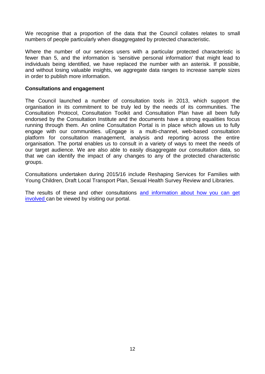We recognise that a proportion of the data that the Council collates relates to small numbers of people particularly when disaggregated by protected characteristic.

Where the number of our services users with a particular protected characteristic is fewer than 5, and the information is 'sensitive personal information' that might lead to individuals being identified, we have replaced the number with an asterisk. If possible, and without losing valuable insights, we aggregate data ranges to increase sample sizes in order to publish more information.

#### <span id="page-12-0"></span>**Consultations and engagement**

The Council launched a number of consultation tools in 2013, which support the organisation in its commitment to be truly led by the needs of its communities. The Consultation Protocol, Consultation Toolkit and Consultation Plan have all been fully endorsed by the Consultation Institute and the documents have a strong equalities focus running through them. An online Consultation Portal is in place which allows us to fully engage with our communities. uEngage is a multi-channel, web-based consultation platform for consultation management, analysis and reporting across the entire organisation. The portal enables us to consult in a variety of ways to meet the needs of our target audience. We are also able to easily disaggregate our consultation data, so that we can identify the impact of any changes to any of the protected characteristic groups.

Consultations undertaken during 2015/16 include Reshaping Services for Families with Young Children, Draft Local Transport Plan, Sexual Health Survey Review and Libraries.

The results of these and other consultations and [information](http://gloucestershire-consult.objective.co.uk/) about how you can get [involved](http://gloucestershire-consult.objective.co.uk/) can be viewed by visiting our portal.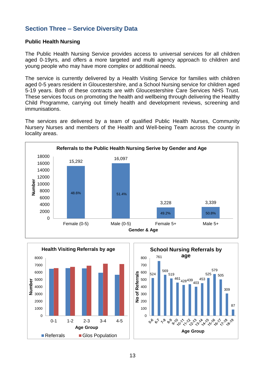# <span id="page-13-0"></span>**Section Three – Service Diversity Data**

### <span id="page-13-1"></span>**Public Health Nursing**

The Public Health Nursing Service provides access to universal services for all children aged 0-19yrs, and offers a more targeted and multi agency approach to children and young people who may have more complex or additional needs.

The service is currently delivered by a Health Visiting Service for families with children aged 0-5 years resident in Gloucestershire, and a School Nursing service for children aged 5-19 years. Both of these contracts are with Gloucestershire Care Services NHS Trust. These services focus on promoting the health and wellbeing through delivering the Healthy Child Programme, carrying out timely health and development reviews, screening and immunisations.

The services are delivered by a team of qualified Public Health Nurses, Community Nursery Nurses and members of the Health and Well-being Team across the county in locality areas.





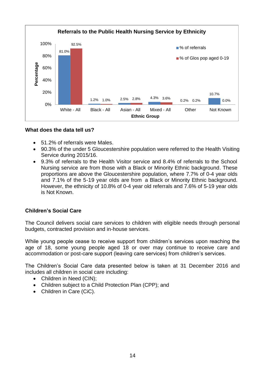

## **What does the data tell us?**

- 51.2% of referrals were Males.
- 90.3% of the under 5 Gloucestershire population were referred to the Health Visiting Service during 2015/16.
- 9.3% of referrals to the Health Visitor service and 8.4% of referrals to the School Nursing service are from those with a Black or Minority Ethnic background. These proportions are above the Gloucestershire population, where 7.7% of 0-4 year olds and 7.1% of the 5-19 year olds are from a Black or Minority Ethnic background. However, the ethnicity of 10.8% of 0-4 year old referrals and 7.6% of 5-19 year olds is Not Known.

## <span id="page-14-0"></span>**Children's Social Care**

The Council delivers social care services to children with eligible needs through personal budgets, contracted provision and in-house services.

While young people cease to receive support from children's services upon reaching the age of 18, some young people aged 18 or over may continue to receive care and accommodation or post-care support (leaving care services) from children's services.

The Children's Social Care data presented below is taken at 31 December 2016 and includes all children in social care including:

- Children in Need (CIN);
- Children subject to a Child Protection Plan (CPP); and
- Children in Care (CiC).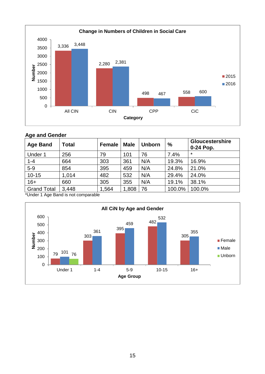

#### **Age and Gender**

| <b>Age Band</b>    | <b>Total</b> | <b>Female</b> | <b>Male</b> | <b>Unborn</b> | %      | <b>Gloucestershire</b><br>0-24 Pop. |
|--------------------|--------------|---------------|-------------|---------------|--------|-------------------------------------|
| Under 1            | 256          | 79            | 101         | 76            | 7.4%   | $\star$                             |
| $1 - 4$            | 664          | 303           | 361         | N/A           | 19.3%  | 16.9%                               |
| $5-9$              | 854          | 395           | 459         | N/A           | 24.8%  | 21.0%                               |
| $10 - 15$          | 1,014        | 482           | 532         | N/A           | 29.4%  | 24.0%                               |
| $16+$              | 660          | 305           | 355         | N/A           | 19.1%  | 38.1%                               |
| <b>Grand Total</b> | 3,448        | 1,564         | 1,808       | 76            | 100.0% | 100.0%                              |

\*Under 1 Age Band is not comparable

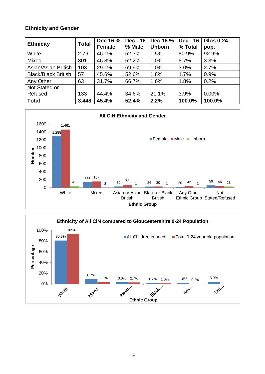## **Ethnicity and Gender**

| <b>Ethnicity</b>           | <b>Total</b> | Dec 16 %<br><b>Female</b> | Dec 16<br>% Male | Dec 16 %<br><b>Unborn</b> | 16<br>Dec<br>% Total | <b>Glos 0-24</b><br>pop. |
|----------------------------|--------------|---------------------------|------------------|---------------------------|----------------------|--------------------------|
| White                      | 2,791        | 46.1%                     | 52.3%            | 1.5%                      | 80.9%                | 92.9%                    |
| Mixed                      | 301          | 46.8%                     | 52.2%            | 1.0%                      | 8.7%                 | 3.3%                     |
| Asian/Asian British        | 103          | 29.1%                     | 69.9%            | 1.0%                      | 3.0%                 | 2.7%                     |
| <b>Black/Black British</b> | 57           | 45.6%                     | 52.6%            | 1.8%                      | 1.7%                 | 0.9%                     |
| Any Other                  | 63           | 31.7%                     | 66.7%            | 1.6%                      | 1.8%                 | 0.2%                     |
| Not Stated or              |              |                           |                  |                           |                      |                          |
| Refused                    | 133          | 44.4%                     | 34.6%            | 21.1%                     | 3.9%                 | 0.00%                    |
| <b>Total</b>               | 3,448        | 45.4%                     | 52.4%            | 2.2%                      | 100.0%               | 100.0%                   |



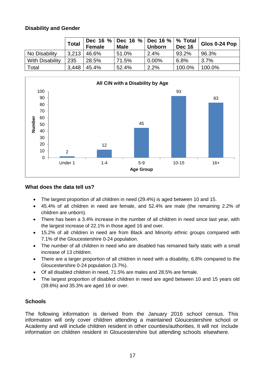## **Disability and Gender**

|                        | <b>Total</b> | <b>Female</b> | Dec 16 % Dec 16 % Dec 16 %   % Total<br><b>Male</b> | <b>Unborn</b> | <b>Dec 16</b> | Glos 0-24 Pop |
|------------------------|--------------|---------------|-----------------------------------------------------|---------------|---------------|---------------|
| No Disability          | 3,213        | 46.6%         | 51.0%                                               | 2.4%          | 93.2%         | 96.3%         |
| <b>With Disability</b> | 235          | 28.5%         | 71.5%                                               | $0.00\%$      | 6.8%          | 3.7%          |
| Total                  | 3,448        | 45.4%         | 52.4%                                               | 2.2%          | 100.0%        | 100.0%        |



## **What does the data tell us?**

- The largest proportion of all children in need (29.4%) is aged between 10 and 15.
- 45.4% of all children in need are female, and 52.4% are male (the remaining 2.2% of children are unborn).
- There has been a 3.4% increase in the number of all children in need since last year, with the largest increase of 22.1% in those aged 16 and over.
- 15.2% of all children in need are from Black and Minority ethnic groups compared with 7.1% of the Gloucestershire 0-24 population.
- The number of all children in need who are disabled has remained fairly static with a small increase of 13 children.
- There are a larger proportion of all children in need with a disability, 6.8% compared to the Gloucestershire 0-24 population (3.7%).
- Of all disabled children in need, 71.5% are males and 28.5% are female.
- The largest proportion of disabled children in need are aged between 10 and 15 years old (39.6%) and 35.3% are aged 16 or over.

## <span id="page-17-0"></span>**Schools**

The following information is derived from the January 2016 school census. This information will only cover children attending a maintained Gloucestershire school or Academy and will include children resident in other counties/authorities. It will not include information on children resident in Gloucestershire but attending schools elsewhere.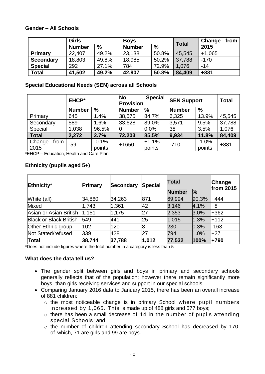## **Gender – All Schools**

|                  | <b>Girls</b>  |       | <b>Boys</b>   |       | <b>Total</b> | Change<br>from |
|------------------|---------------|-------|---------------|-------|--------------|----------------|
|                  | <b>Number</b> | %     | <b>Number</b> | $\%$  |              | 2015           |
| <b>Primary</b>   | 22,407        | 49.2% | 23,138        | 50.8% | 45,545       | $+1,065$       |
| <b>Secondary</b> | 18,803        | 49.8% | 18,985        | 50.2% | 37,788       | $-170$         |
| <b>Special</b>   | 292           | 27.1% | 784           | 72.9% | 1,076        | $-14$          |
| <b>Total</b>     | 41,502        | 49.2% | 42,907        | 50.8% | 84,409       | +881           |

### **Special Educational Needs (SEN) across all Schools**

|                | <b>EHCP*</b>  |         | <b>No</b><br><b>Special</b><br><b>Provision</b> |               | <b>SEN Support</b> |         | <b>Total</b> |
|----------------|---------------|---------|-------------------------------------------------|---------------|--------------------|---------|--------------|
|                | <b>Number</b> | %       | <b>Number</b>                                   | $\frac{0}{0}$ | <b>Number</b>      | $\%$    |              |
| Primary        | 645           | 1.4%    | 38,575                                          | 84.7%         | 6,325              | 13.9%   | 45,545       |
| Secondary      | 589           | 1.6%    | 33,628                                          | 89.0%         | 3,571              | 9.5%    | 37,788       |
| Special        | 1,038         | 96.5%   | 0                                               | 0.0%          | 38                 | 3.5%    | 1,076        |
| <b>Total</b>   | 2,272         | 2.7%    | 72,203                                          | 85.5%         | 9,934              | 11.8%   | 84,409       |
| Change<br>from | $-59$         | $-0.1%$ | $+1650$                                         | $+1.1%$       | $-710$             | $-1.0%$ | $+881$       |
| 2015           |               | points  |                                                 | points        |                    | points  |              |

\*EHCP – Education, Health and Care Plan

## **Ethnicity (pupils aged 5+)**

| Ethnicity*                    | Primary<br>Secondary |        | Special | <b>Total</b>  | Change<br>from 2015 |        |
|-------------------------------|----------------------|--------|---------|---------------|---------------------|--------|
|                               |                      |        |         | <b>Number</b> | $\frac{1}{2}$       |        |
| White (all)                   | 34,860               | 34,263 | 871     | 69,994        | 90.3%               | +444   |
| <b>Mixed</b>                  | 1,743                | 1,361  | 42      | 3,146         | 4.1%                | +8     |
| Asian or Asian British        | 1,151                | 1,175  | 27      | 2,353         | 3.0%                | +362   |
| <b>Black or Black British</b> | 549                  | 441    | 25      | 1,015         | 1.3%                | $+112$ |
| Other Ethnic group            | 102                  | 120    |         | 230           | 0.3%                | -163   |
| Not Stated/refused            | 339                  | 428    | 27      | 794           | 1.0%                | +27    |
| Total                         | 38,744               | 37,788 | 1,012   | 77,532        | 100%                | +790   |

\*Does not include figures where the total number in a category is less than 5

#### **What does the data tell us?**

- The gender split between girls and boys in primary and secondary schools generally reflects that of the population; however there remain significantly more boys than girls receiving services and support in our special schools.
- Comparing January 2016 data to January 2015, there has been an overall increase of 881 children:
	- o the most noticeable change is in primary School where pupil numbers increased by 1,065. This is made up of 488 girls and 577 boys;
	- $\circ$  there has been a small decrease of 14 in the number of pupils attending special Schools; and
	- o the number of children attending secondary School has decreased by 170, of which, 71 are girls and 99 are boys.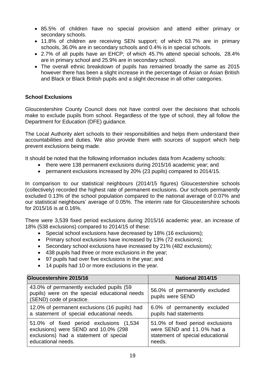- 85.5% of children have no special provision and attend either primary or secondary schools.
- 11.8% of children are receiving SEN support; of which 63.7% are in primary schools, 36.0% are in secondary schools and 0.4% is in special schools.
- 2.7% of all pupils have an EHCP; of which 45.7% attend special schools, 28.4% are in primary school and 25.9% are in secondary school.
- The overall ethnic breakdown of pupils has remained broadly the same as 2015 however there has been a slight increase in the percentage of Asian or Asian British and Black or Black British pupils and a slight decrease in all other categories.

### <span id="page-19-0"></span>**School Exclusions**

Gloucestershire County Council does not have control over the decisions that schools make to exclude pupils from school. Regardless of the type of school, they all follow the [Department for Education \(DFE\) guidance.](http://www.education.gov.uk/schools/pupilsupport/behaviour/exclusion)

The Local Authority alert schools to their responsibilities and helps them understand their accountabilities and duties. We also provide them with sources of support which help prevent exclusions being made.

It should be noted that the following information includes data from Academy schools:

- there were 138 permanent exclusions during 2015/16 academic year; and
- permanent exclusions increased by 20% (23 pupils) compared to 2014/15.

In comparison to our statistical neighbours (2014/15 figures) Gloucestershire schools (collectively) recorded the highest rate of permanent exclusions. Our schools permanently excluded 0.13% of the school population compared to the national average of 0.07% and our statistical neighbours' average of 0.05%. The interim rate for Gloucestershire schools for 2015/16 is at 0.16%.

There were 3,539 fixed period exclusions during 2015/16 academic year, an increase of 18% (538 exclusions) compared to 2014/15 of these:

- Special school exclusions have decreased by 18% (16 exclusions);
- Primary school exclusions have increased by 13% (72 exclusions);
- Secondary school exclusions have increased by 21% (482 exclusions);
- 438 pupils had three or more exclusions in the year;
- 97 pupils had over five exclusions in the year; and
- 14 pupils had 10 or more exclusions in the year.

| Gloucestershire 2015/16                                                                                               | <b>National 2014/15</b>                           |
|-----------------------------------------------------------------------------------------------------------------------|---------------------------------------------------|
| 43.0% of permanently excluded pupils (59<br>pupils) were on the special educational needs<br>(SEND) code of practice. | 56.0% of permanently excluded<br>pupils were SEND |
| 12.0% of permanent exclusions (16 pupils) had                                                                         | 6.0% of permanently excluded                      |
| a statement of special educational needs.                                                                             | pupils had statements                             |
| 51.0% of fixed period exclusions (1,534                                                                               | 51.0% of fixed period exclusions                  |
| exclusions) were SEND and 10.0% (298                                                                                  | were SEND and 11.0% had a                         |
| exclusions) had a statement of special                                                                                | statement of special educational                  |
| educational needs.                                                                                                    | needs.                                            |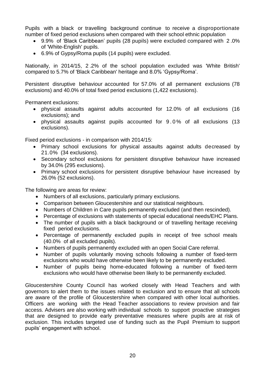Pupils with a black or travelling background continue to receive a disproportionate number of fixed period exclusions when compared with their school ethnic population

- 9.9% of 'Black Caribbean' pupils (28 pupils) were excluded compared with 2 .0% of 'White-English' pupils.
- 6.9% of Gypsy/Roma pupils (14 pupils) were excluded.

Nationally, in 2014/15, 2 .2% of the school population excluded was 'White British' compared to 5.7% of 'Black Caribbean' heritage and 8.0% 'Gypsy/Roma'.

Persistent disruptive behaviour accounted for 57.0% of all permanent exclusions (78 exclusions) and 40.0% of total fixed period exclusions (1,422 exclusions).

Permanent exclusions:

- physical assaults against adults accounted for 12.0% of all exclusions (16 exclusions); and
- physical assaults against pupils accounted for 9 . 0 % of all exclusions (13 exclusions).

Fixed period exclusions - in comparison with 2014/15:

- Primary school exclusions for physical assaults against adults decreased by 21.0% (34 exclusions).
- Secondary school exclusions for persistent disruptive behaviour have increased by 34.0% (295 exclusions).
- Primary school exclusions for persistent disruptive behaviour have increased by 26.0% (52 exclusions).

The following are areas for review:

- Numbers of all exclusions, particularly primary exclusions.
- Comparison between Gloucestershire and our statistical neighbours.
- Numbers of Children in Care pupils permanently excluded (and then rescinded).
- Percentage of exclusions with statements of special educational needs/EHC Plans.
- The number of pupils with a black background or of travelling heritage receiving fixed period exclusions.
- Percentage of permanently excluded pupils in receipt of free school meals (40.0% of all excluded pupils).
- Numbers of pupils permanently excluded with an open Social Care referral.
- Number of pupils voluntarily moving schools following a number of fixed-term exclusions who would have otherwise been likely to be permanently excluded.
- Number of pupils being home-educated following a number of fixed-term exclusions who would have otherwise been likely to be permanently excluded.

Gloucestershire County Council has worked closely with Head Teachers and with governors to alert them to the issues related to exclusion and to ensure that all schools are aware of the profile of Gloucestershire when compared with other local authorities. Officers are working with the Head Teacher associations to review provision and fair access. Advisers are also working with individual schools to support proactive strategies that are designed to provide early preventative measures where pupils are at risk of exclusion. This includes targeted use of funding such as the Pupil Premium to support pupils' engagement with school.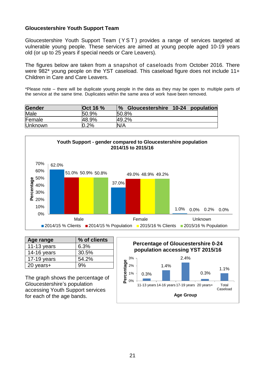#### <span id="page-21-0"></span>**Gloucestershire Youth Support Team**

Gloucestershire Youth Support Team ( Y S T ) provides a range of services targeted at vulnerable young people. These services are aimed at young people aged 10-19 years old (or up to 25 years if special needs or Care Leavers).

The figures below are taken from a snapshot of caseloads from October 2016. There were 982\* young people on the YST caseload. This caseload figure does not include 11+ Children in Care and Care Leavers.

\*Please note – there will be duplicate young people in the data as they may be open to multiple parts of the service at the same time. Duplicates within the same area of work have been removed.

| <b>Gender</b> | $Oct 16 \%$ | 10-24 population<br>$\frac{9}{6}$<br>Gloucestershire |
|---------------|-------------|------------------------------------------------------|
| Male          | $50.9\%$    | 50.8%                                                |
| Female        | 48.9%       | 49.2%                                                |
| Unknown       | 0.2%        | N/A                                                  |



| Age range     | % of clients |
|---------------|--------------|
| $11-13$ years | 6.3%         |
| 14-16 years   | 30.5%        |
| $17-19$ years | 54.2%        |
| 20 years+     | 9%           |

The graph shows the percentage of Gloucestershire's population accessing Youth Support services for each of the age bands.

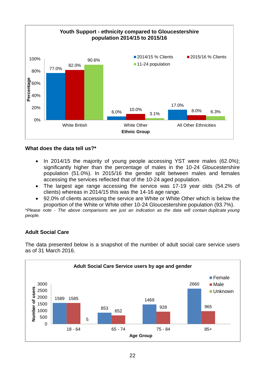

#### **What does the data tell us?\***

- In 2014/15 the majority of young people accessing YST were males (62.0%); significantly higher than the percentage of males in the 10-24 Gloucestershire population (51.0%). In 2015/16 the gender split between males and females accessing the services reflected that of the 10-24 aged population.
- The largest age range accessing the service was 17-19 year olds (54.2% of clients) whereas in 2014/15 this was the 14-16 age range.
- 92.0% of clients accessing the service are White or White Other which is below the proportion of the White or White other 10-24 Gloucestershire population (93.7%).

\**Please note - The above comparisons are just an indication as the data will contain duplicate young people.*

#### <span id="page-22-0"></span>**Adult Social Care**



The data presented below is a snapshot of the number of adult social care service users as of 31 March 2016.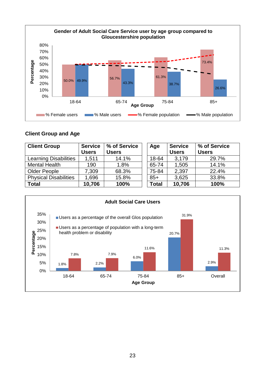

### **Client Group and Age**

| <b>Client Group</b>          | <b>Service</b><br><b>Users</b> | % of Service<br><b>Users</b> | Age   | <b>Service</b><br><b>Users</b> | % of Service<br><b>Users</b> |
|------------------------------|--------------------------------|------------------------------|-------|--------------------------------|------------------------------|
| <b>Learning Disabilities</b> | 1,511                          | 14.1%                        | 18-64 | 3.179                          | 29.7%                        |
| <b>Mental Health</b>         | 190                            | 1.8%                         | 65-74 | 1,505                          | 14.1%                        |
| Older People                 | 7,309                          | 68.3%                        | 75-84 | 2,397                          | 22.4%                        |
| <b>Physical Disabilities</b> | 1,696                          | 15.8%                        | $85+$ | 3,625                          | 33.8%                        |
| <b>Total</b>                 | 10,706                         | 100%                         | Total | 10,706                         | 100%                         |

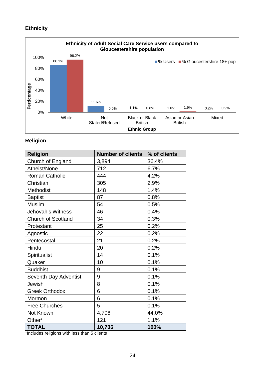# **Ethnicity**



# **Religion**

| <b>Religion</b>          | <b>Number of clients</b> | % of clients |
|--------------------------|--------------------------|--------------|
| Church of England        | 3,894                    | 36.4%        |
| Atheist/None             | 712                      | 6.7%         |
| Roman Catholic           | 444                      | 4.2%         |
| Christian                | 305                      | 2.9%         |
| Methodist                | 148                      | 1.4%         |
| <b>Baptist</b>           | 87                       | 0.8%         |
| Muslim                   | 54                       | 0.5%         |
| <b>Jehovah's Witness</b> | 46                       | 0.4%         |
| Church of Scotland       | 34                       | 0.3%         |
| Protestant               | 25                       | 0.2%         |
| Agnostic                 | 22                       | 0.2%         |
| Pentecostal              | 21                       | 0.2%         |
| Hindu                    | 20                       | 0.2%         |
| Spiritualist             | 14                       | 0.1%         |
| Quaker                   | 10                       | 0.1%         |
| <b>Buddhist</b>          | 9                        | 0.1%         |
| Seventh Day Adventist    | 9                        | 0.1%         |
| Jewish                   | 8                        | 0.1%         |
| <b>Greek Orthodox</b>    | 6                        | 0.1%         |
| Mormon                   | 6                        | 0.1%         |
| <b>Free Churches</b>     | 5                        | 0.1%         |
| Not Known                | 4,706                    | 44.0%        |
| Other*                   | 121                      | 1.1%         |
| <b>TOTAL</b>             | 10,706                   | 100%         |

\*Includes religions with less than 5 clients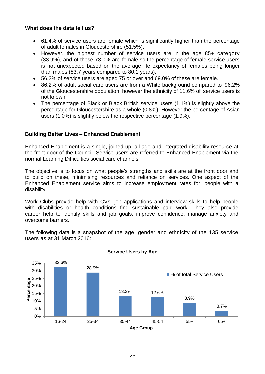## **What does the data tell us?**

- 61.4% of service users are female which is significantly higher than the percentage of adult females in Gloucestershire (51.5%).
- However, the highest number of service users are in the age 85+ category (33.9%), and of these 73.0% are female so the percentage of female service users is not unexpected based on the average life expectancy of females being longer than males (83.7 years compared to 80.1 years).
- 56.2% of service users are aged 75 or over and 69.0% of these are female.
- 86.2% of adult social care users are from a White background compared to 96.2% of the Gloucestershire population, however the ethnicity of 11.6% of service users is not known.
- The percentage of Black or Black British service users (1.1%) is slightly above the percentage for Gloucestershire as a whole (0.8%). However the percentage of Asian users (1.0%) is slightly below the respective percentage (1.9%).

## <span id="page-25-0"></span>**Building Better Lives – Enhanced Enablement**

Enhanced Enablement is a single, joined up, all-age and integrated disability resource at the front door of the Council. Service users are referred to Enhanced Enablement via the normal Learning Difficulties social care channels.

The objective is to focus on what people's strengths and skills are at the front door and to build on these, minimising resources and reliance on services. One aspect of the Enhanced Enablement service aims to increase employment rates for people with a disability.

Work Clubs provide help with CVs, job applications and interview skills to help people with disabilities or health conditions find sustainable paid work. They also provide career help to identify skills and job goals, improve confidence, manage anxiety and overcome barriers.



The following data is a snapshot of the age, gender and ethnicity of the 135 service users as at 31 March 2016: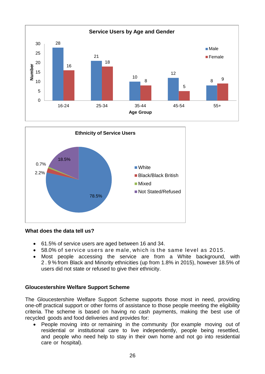



#### **What does the data tell us?**

- 61.5% of service users are aged between 16 and 34.
- 58.0% of service users are male, which is the same level as 2015.
- Most people accessing the service are from a White background, with 2 . 9 % from Black and Minority ethnicities (up from 1.8% in 2015), however 18.5% of users did not state or refused to give their ethnicity.

#### <span id="page-26-0"></span>**Gloucestershire Welfare Support Scheme**

The Gloucestershire Welfare Support Scheme supports those most in need, providing one-off practical support or other forms of assistance to those people meeting the eligibility criteria. The scheme is based on having no cash payments, making the best use of recycled goods and food deliveries and provides for:

• People moving into or remaining in the community (for example moving out of residential or institutional care to live independently, people being resettled, and people who need help to stay in their own home and not go into residential care or hospital).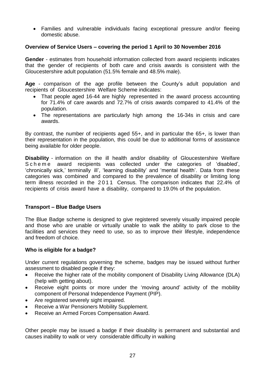Families and vulnerable individuals facing exceptional pressure and/or fleeing domestic abuse.

#### **Overview of Service Users – covering the period 1 April to 30 November 2016**

**Gender** - estimates from household information collected from award recipients indicates that the gender of recipients of both care and crisis awards is consistent with the Gloucestershire adult population (51.5% female and 48.5% male).

**Age** - comparison of the age profile between the County's adult population and recipients of Gloucestershire Welfare Scheme indicates:

- That people aged 16-44 are highly represented in the award process accounting for 71.4% of care awards and 72.7% of crisis awards compared to 41.4% of the population.
- The representations are particularly high among the 16-34s in crisis and care awards.

By contrast, the number of recipients aged 55+, and in particular the 65+, is lower than their representation in the population, this could be due to additional forms of assistance being available for older people.

**Disability** - information on the ill health and/or disability of Gloucestershire Welfare S c h e m e award recipients was collected under the categories of 'disabled', 'chronically sick,' terminally ill', 'learning disability' and 'mental health'. Data from these categories was combined and compared to the prevalence of disability or limiting long term illness recorded in the 2011 Census. The comparison indicates that 22.4% of recipients of crisis award have a disability, compared to 19.0% of the population.

#### <span id="page-27-0"></span>**Transport – Blue Badge Users**

The Blue Badge scheme is designed to give registered severely visually impaired people and those who are unable or virtually unable to walk the ability to park close to the facilities and services they need to use, so as to improve their lifestyle, independence and freedom of choice.

#### **Who is eligible for a badge?**

Under current regulations governing the scheme, badges may be issued without further assessment to disabled people if they:

- Receive the higher rate of the mobility component of Disability Living Allowance (DLA) (help with getting about).
- Receive eight points or more under the 'moving around' activity of the mobility component of Personal Independence Payment (PIP).
- Are registered severely sight impaired.
- Receive a War Pensioners Mobility Supplement.
- Receive an Armed Forces Compensation Award.

Other people may be issued a badge if their disability is permanent and substantial and causes inability to walk or very considerable difficulty in walking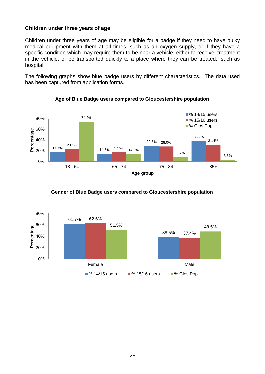#### **Children under three years of age**

Children under three years of age may be eligible for a badge if they need to have bulky medical equipment with them at all times, such as an oxygen supply, or if they have a specific condition which may require them to be near a vehicle, either to receive treatment in the vehicle, or be transported quickly to a place where they can be treated, such as hospital.

The following graphs show blue badge users by different characteristics. The data used has been captured from application forms.



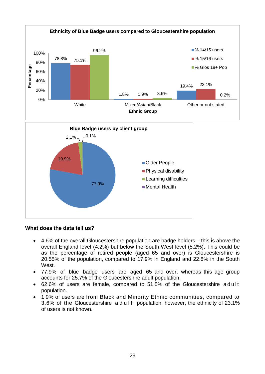

#### **What does the data tell us?**

- 4.6% of the overall Gloucestershire population are badge holders this is above the overall England level (4.2%) but below the South West level (5.2%). This could be as the percentage of retired people (aged 65 and over) is Gloucestershire is 20.55% of the population, compared to 17.9% in England and 22.8% in the South West.
- 77.9% of blue badge users are aged 65 and over, whereas this age group accounts for 25.7% of the Gloucestershire adult population.
- 62.6% of users are female, compared to 51.5% of the Gloucestershire adult population.
- 1.9% of users are from Black and Minority Ethnic communities, compared to 3.6% of the Gloucestershire ad ult population, however, the ethnicity of 23.1% of users is not known.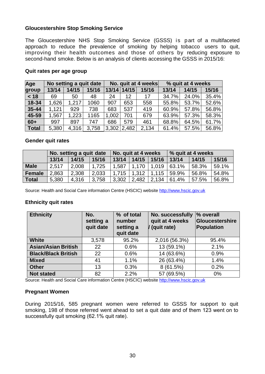## <span id="page-30-0"></span>**Gloucestershire Stop Smoking Service**

The Gloucestershire NHS Stop Smoking Service (GSSS) is p art of a multifaceted approach to reduce the prevalence of smoking by helping tobacco users to quit, improving their health outcomes and those of others by reducing exposure to second-hand smoke. Below is an analysis of clients accessing the GSSS in 2015/16:

#### **Quit rates per age group**

| Age          | No setting a quit date |       |       | No. quit at 4 weeks |               |       | % quit at 4 weeks |       |       |
|--------------|------------------------|-------|-------|---------------------|---------------|-------|-------------------|-------|-------|
| group        | 13/14                  | 14/15 | 15/16 |                     | 13/14 14/15   | 15/16 | 13/14             | 14/15 | 15/16 |
| $\vert$ < 18 | 69                     | 50    | 48    | 24                  | 12            | 17    | 34.7%             | 24.0% | 35.4% |
| 18-34        | 1,626                  | 1,217 | 1060  | 907                 | 653           | 558   | 55.8%             | 53.7% | 52.6% |
| $35 - 44$    | 1,121                  | 929   | 738   | 683                 | 537           | 419   | 60.9%             | 57.8% | 56.8% |
| 45-59        | 1,567                  | 1,223 | 1165  | 1,002               | 701           | 679   | 63.9%             | 57.3% | 58.3% |
| $60+$        | 997                    | 897   | 747   | 686                 | 579           | 461   | 68.8%             | 64.5% | 61.7% |
| <b>Total</b> | 5,380                  | 4,316 | 3,758 |                     | $3,302$ 2,482 | 2,134 | 61.4%             | 57.5% | 56.8% |

#### **Gender quit rates**

|               | No. setting a quit date |       | No. quit at 4 weeks |       |       | % guit at 4 weeks |       |       |       |
|---------------|-------------------------|-------|---------------------|-------|-------|-------------------|-------|-------|-------|
|               | 13/14                   | 14/15 | 15/16               | 13/14 | 14/15 | 15/16             | 13/14 | 14/15 | 15/16 |
| <b>Male</b>   | 2.517                   | 2,008 | 1,725               | 1.587 | 1.170 | 1.019             | 63.1% | 58.3% | 59.1% |
| <b>Female</b> | 2,863                   | 2,308 | 2,033               | 1.715 | 1,312 | 1.115             | 59.9% | 56.8% | 54.8% |
| <b>Total</b>  | 5,380                   | 4,316 | 3,758               | 3,302 | 2,482 | 2,134             | 61.4% | 57.5% | 56.8% |

Source: Health and Social Care information Centre (HSCIC) website [http://www.hscic.gov.uk](http://www.hscic.gov.uk/)

#### **Ethnicity quit rates**

| <b>Ethnicity</b>           | No.<br>setting a<br>quit date | % of total<br>number<br>setting a<br>quit date | No. successfully<br>quit at 4 weeks<br>/ (quit rate) | % overall<br>Gloucestershire<br>Population |  |
|----------------------------|-------------------------------|------------------------------------------------|------------------------------------------------------|--------------------------------------------|--|
| <b>White</b>               | 3,578                         | 95.2%                                          | 2,016 (56.3%)                                        | 95.4%                                      |  |
| <b>Asian/Asian British</b> | 22                            | 0.6%                                           | 13 (59.1%)                                           | 2.1%                                       |  |
| <b>Black/Black British</b> | 22                            | 0.6%                                           | 14 (63.6%)                                           | 0.9%                                       |  |
| <b>Mixed</b>               | 41                            | 1.1%                                           | 26 (63.4%)                                           | 1.4%                                       |  |
| <b>Other</b>               | 13                            | 0.3%                                           | 8 (61.5%)                                            | 0.2%                                       |  |
| <b>Not stated</b>          | 82                            | 2.2%                                           | 57 (69.5%)                                           | 0%                                         |  |

Source: Health and Social Care information Centre (HSCIC) website [http://www.hscic.gov.uk](http://www.hscic.gov.uk/)

#### **Pregnant Women**

During 2015/16, 585 pregnant women were referred to GSSS for support to quit smoking, 198 of those referred went ahead to set a quit date and of them 123 went on to successfully quit smoking (62.1% quit rate).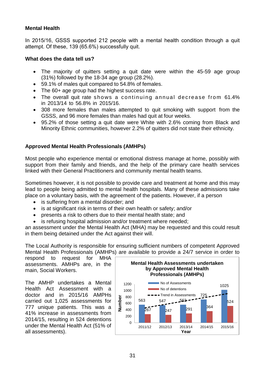## **Mental Health**

In 2015/16, GSSS supported 212 people with a mental health condition through a quit attempt. Of these, 139 (65.6%) successfully quit.

#### **What does the data tell us?**

- The majority of quitters setting a quit date were within the 45-59 age group (31%) followed by the 18-34 age group (28.2%).
- 59.1% of males quit compared to 54.8% of females.
- The 60+ age group had the highest success rate.
- The overall quit rate shows a continuing annual decrease from 61.4% in 2013/14 to 56.8% in 2015/16.
- 308 more females than males attempted to quit smoking with support from the GSSS, and 96 more females than males had quit at four weeks.
- 95.2% of those setting a quit date were White with 2.6% coming from Black and Minority Ethnic communities, however 2.2% of quitters did not state their ethnicity.

## <span id="page-31-0"></span>**Approved Mental Health Professionals (AMHPs)**

Most people who experience mental or emotional distress manage at home, possibly with support from their family and friends, and the help of the primary care health services linked with their General Practitioners and community mental health teams.

Sometimes however, it is not possible to provide care and treatment at home and this may lead to people being admitted to mental health hospitals. Many of these admissions take place on a voluntary basis, with the agreement of the patients. However, if a person

- is suffering from a mental disorder: and
- is at significant risk in terms of their own health or safety; and/or
- presents a risk to others due to their mental health state; and
- is refusing hospital admission and/or treatment where needed;

an assessment under the Mental Health Act (MHA) may be requested and this could result in them being detained under the Act against their will.

The Local Authority is responsible for ensuring sufficient numbers of competent Approved Mental Health Professionals (AMHPs) are available to provide a 24/7 service in order to

respond to request for MHA assessments. AMHPs are, in the main, Social Workers.

The AMHP undertakes a Mental Health Act Assessment with a doctor and in 2015/16 AMPHs carried out 1,025 assessments for 777 unique patients. This was a 41% increase in assessments from 2014/15, resulting in 524 detentions under the Mental Health Act (51% of all assessments).

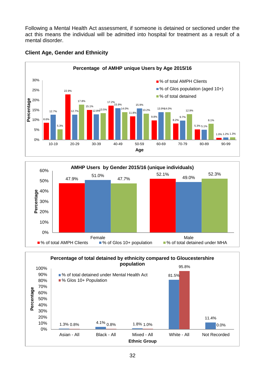Following a Mental Health Act assessment, if someone is detained or sectioned under the act this means the individual will be admitted into hospital for treatment as a result of a mental disorder.



## **Client Age, Gender and Ethnicity**



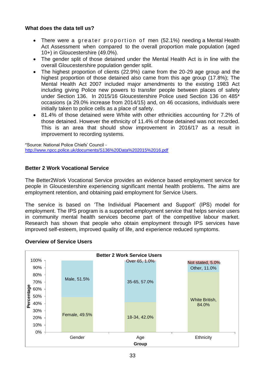### **What does the data tell us?**

- There were a greater proportion of men (52.1%) needing a Mental Health Act Assessment when compared to the overall proportion male population (aged 10+) in Gloucestershire (49.0%).
- The gender split of those detained under the Mental Health Act is in line with the overall Gloucestershire population gender split.
- The highest proportion of clients (22.9%) came from the 20-29 age group and the highest proportion of those detained also came from this age group (17.8%); The Mental Health Act 2007 included major amendments to the existing 1983 Act including giving Police new powers to transfer people between places of safety under Section 136. In 2015/16 Gloucestershire Police used Section 136 on 485\* occasions (a 29.0% increase from 2014/15) and, on 46 occasions, individuals were initially taken to police cells as a place of safety.
- 81.4% of those detained were White with other ethnicities accounting for 7.2% of those detained. However the ethnicity of 11.4% of those detained was not recorded. This is an area that should show improvement in 2016/17 as a result in improvement to recording systems.

\*Source: National Police Chiefs' Council <http://www.npcc.police.uk/documents/S136%20Data%202015%2016.pdf>

### <span id="page-33-0"></span>**Better 2 Work Vocational Service**

The Better2Work Vocational Service provides an evidence based employment service for people in Gloucestershire experiencing significant mental health problems. The aims are employment retention, and obtaining paid employment for Service Users.

The service is based on 'The Individual Placement and Support' (IPS) model for employment. The IPS program is a supported employment service that helps service users in community mental health services become part of the competitive labour market. Research has shown that people who obtain employment through IPS services have improved self-esteem, improved quality of life, and experience reduced symptoms.



#### **Overview of Service Users**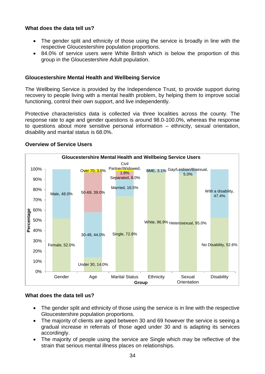## **What does the data tell us?**

- The gender split and ethnicity of those using the service is broadly in line with the respective Gloucestershire population proportions.
- 84.0% of service users were White British which is below the proportion of this group in the Gloucestershire Adult population.

#### <span id="page-34-0"></span>**Gloucestershire Mental Health and Wellbeing Service**

The Wellbeing Service is provided by the Independence Trust, to provide support during recovery to people living with a mental health problem, by helping them to improve social functioning, control their own support, and live independently.

Protective characteristics data is collected via three localities across the county. The response rate to age and gender questions is around 98.0-100.0%, whereas the response to questions about more sensitive personal information – ethnicity, sexual orientation, disability and marital status is 68.0%.



#### **Overview of Service Users**

#### **What does the data tell us?**

- The gender split and ethnicity of those using the service is in line with the respective Gloucestershire population proportions.
- The majority of clients are aged between 30 and 69 however the service is seeing a gradual increase in referrals of those aged under 30 and is adapting its services accordingly.
- The majority of people using the service are Single which may be reflective of the strain that serious mental illness places on relationships.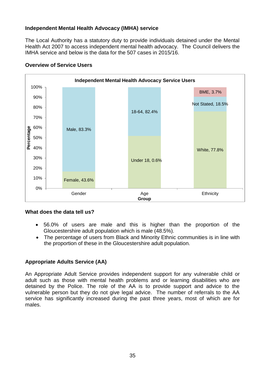## <span id="page-35-0"></span>**Independent Mental Health Advocacy (IMHA) service**

The Local Authority has a statutory duty to provide individuals detained under the Mental Health Act 2007 to access independent mental health advocacy. The Council delivers the IMHA service and below is the data for the 507 cases in 2015/16.



### **Overview of Service Users**

#### **What does the data tell us?**

- 56.0% of users are male and this is higher than the proportion of the Gloucestershire adult population which is male (48.5%).
- The percentage of users from Black and Minority Ethnic communities is in line with the proportion of these in the Gloucestershire adult population.

#### <span id="page-35-1"></span>**Appropriate Adults Service (AA)**

An Appropriate Adult Service provides independent support for any vulnerable child or adult such as those with mental health problems and or learning disabilities who are detained by the Police. The role of the AA is to provide support and advice to the vulnerable person but they do not give legal advice. The number of referrals to the AA service has significantly increased during the past three years, most of which are for males.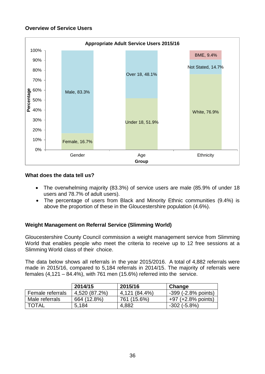## **Overview of Service Users**



## **What does the data tell us?**

- The overwhelming majority (83.3%) of service users are male (85.9% of under 18 users and 78.7% of adult users).
- The percentage of users from Black and Minority Ethnic communities (9.4%) is above the proportion of these in the Gloucestershire population (4.6%).

## <span id="page-36-0"></span>**Weight Management on Referral Service (Slimming World)**

Gloucestershire County Council commission a weight management service from Slimming World that enables people who meet the criteria to receive up to 12 free sessions at a Slimming World class of their choice.

The data below shows all referrals in the year 2015/2016. A total of 4,882 referrals were made in 2015/16, compared to 5,184 referrals in 2014/15. The majority of referrals were females  $(4,121 - 84.4\%)$ , with 761 men  $(15.6\%)$  referred into the service.

|                  | 2014/15       | 2015/16       | Change                   |
|------------------|---------------|---------------|--------------------------|
| Female referrals | 4,520 (87.2%) | 4,121 (84.4%) | $-399$ $(-2.8\%$ points) |
| Male referrals   | 664 (12.8%)   | 761 (15.6%)   | $+97$ ( $+2.8\%$ points) |
| <b>TOTAL</b>     | 5.184         | 4,882         | $-302$ ( $-5.8\%$ )      |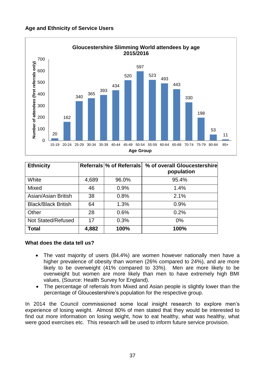## **Age and Ethnicity of Service Users**



| <b>Ethnicity</b>           |       | Referrals \% of Referrals | % of overall Gloucestershire<br>population |
|----------------------------|-------|---------------------------|--------------------------------------------|
| White                      | 4,689 | 96.0%                     | 95.4%                                      |
| Mixed                      | 46    | 0.9%                      | 1.4%                                       |
| Asian/Asian British        | 38    | 0.8%                      | 2.1%                                       |
| <b>Black/Black British</b> | 64    | 1.3%                      | 0.9%                                       |
| Other                      | 28    | 0.6%                      | 0.2%                                       |
| Not Stated/Refused         | 17    | 0.3%                      | $0\%$                                      |
| Total                      | 4,882 | 100%                      | 100%                                       |

#### **What does the data tell us?**

- The vast majority of users (84.4%) are women however nationally men have a higher prevalence of obesity than women (26% compared to 24%), and are more likely to be overweight (41% compared to 33%). Men are more likely to be overweight but women are more likely than men to have extremely high BMI values, (Source: Health Survey for England).
- The percentage of referrals from Mixed and Asian people is slightly lower than the percentage of Gloucestershire's population for the respective group.

In 2014 the Council commissioned some local insight research to explore men's experience of losing weight. Almost 80% of men stated that they would be interested to find out more information on losing weight, how to eat healthy, what was healthy, what were good exercises etc. This research will be used to inform future service provision.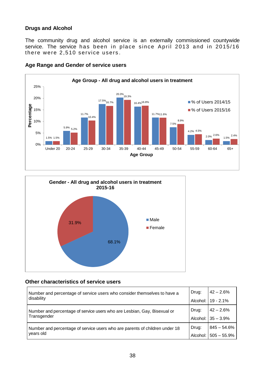## <span id="page-38-0"></span>**Drugs and Alcohol**

The community drug and alcohol service is an externally commissioned countywide service. The service has been in place since April 2013 and in 2015/16 there were 2,510 service users .



**Age Range and Gender of service users**



## **Other characteristics of service users**

| Number and percentage of service users who consider themselves to have a    |          | $42 - 2.6%$          |
|-----------------------------------------------------------------------------|----------|----------------------|
| disability                                                                  |          | Alcohol: 19 - 2.1%   |
| Number and percentage of service users who are Lesbian, Gay, Bisexual or    | Drug:    | $42 - 2.6%$          |
| Transgender                                                                 |          | Alcohol: $35 - 3.9%$ |
| Number and percentage of service users who are parents of children under 18 | Drug:    | $845 - 54.6%$        |
| years old                                                                   | Alcohol: | $1505 - 55.9\%$      |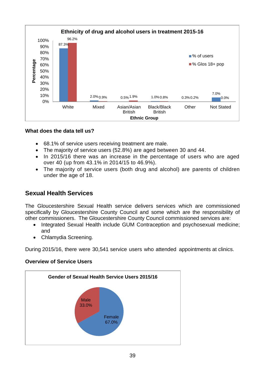

## **What does the data tell us?**

- 68.1% of service users receiving treatment are male.
- The majority of service users (52.8%) are aged between 30 and 44.
- In 2015/16 there was an increase in the percentage of users who are aged over 40 (up from 43.1% in 2014/15 to 46.9%).
- The majority of service users (both drug and alcohol) are parents of children under the age of 18.

## <span id="page-39-0"></span>**Sexual Health Services**

The Gloucestershire Sexual Health service delivers services which are commissioned specifically by Gloucestershire County Council and some which are the responsibility of other commissioners. The Gloucestershire County Council commissioned services are:

- Integrated Sexual Health include GUM Contraception and psychosexual medicine; and
- Chlamydia Screening.

During 2015/16, there were 30,541 service users who attended appointments at clinics.

#### **Overview of Service Users**

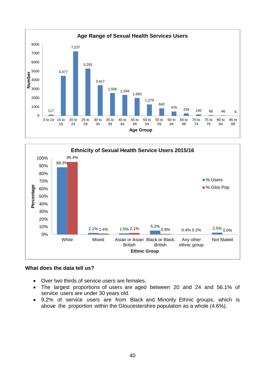



#### **What does the data tell us?**

- Over two thirds of service users are females.
- The largest proportions of users are aged between 20 and 24 and 56.1% of service users are under 30 years old.
- <span id="page-40-0"></span> 9.2% of service users are from Black and Minority Ethnic groups, which is above the proportion within the Gloucestershire population as a whole (4.6%).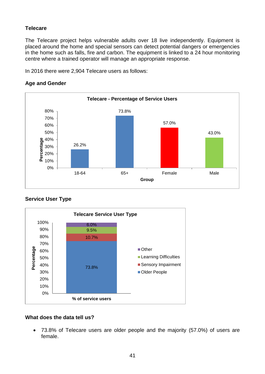## **Telecare**

The Telecare project helps vulnerable adults over 18 live independently. Equipment is placed around the home and special sensors can detect potential dangers or emergencies in the home such as falls, fire and carbon. The equipment is linked to a 24 hour monitoring centre where a trained operator will manage an appropriate response.

In 2016 there were 2,904 Telecare users as follows:

### **Age and Gender**



#### **Service User Type**



#### **What does the data tell us?**

 73.8% of Telecare users are older people and the majority (57.0%) of users are female.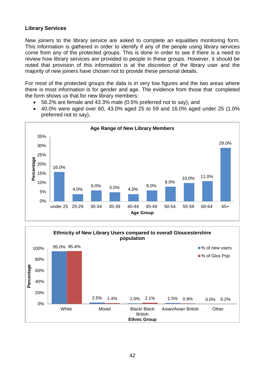## <span id="page-42-0"></span>**Library Services**

New joiners to the library service are asked to complete an equalities monitoring form. This information is gathered in order to identify if any of the people using library services come from any of the protected groups. This is done in order to see if there is a need to review how library services are provided to people in these groups. However, it should be noted that provision of this information is at the discretion of the library user and the majority of new joiners have chosen not to provide these personal details.

For most of the protected groups the data is in very low figures and the two areas where there is most information is for gender and age. The evidence from those that completed the form shows us that for new library members:

- 56.2% are female and 43.3% male (0.5% preferred not to say); and
- $\bullet$  40.0% were aged over 60, 43.0% aged 25 to 59 and 16.0% aged under 25 (1.0%) preferred not to say).



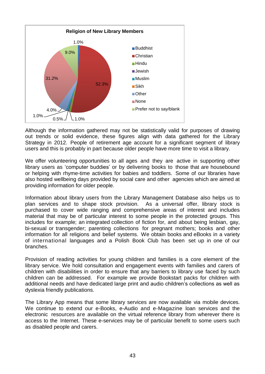

Although the information gathered may not be statistically valid for purposes of drawing out trends or solid evidence, these figures align with data gathered for the Library Strategy in 2012. People of retirement age account for a significant segment of library users and this is probably in part because older people have more time to visit a library.

We offer volunteering opportunities to all ages and they are active in supporting other library users as 'computer buddies' or by delivering books to those that are housebound or helping with rhyme-time activities for babies and toddlers. Some of our libraries have also hosted wellbeing days provided by social care and other agencies which are aimed at providing information for older people.

Information about library users from the Library Management Database also helps us to plan services and to shape stock provision. As a universal offer, library stock is purchased to cover wide ranging and comprehensive areas of interest and includes material that may be of particular interest to some people in the protected groups. This includes for example; an integrated collection of fiction for, and about being lesbian, gay, bi-sexual or transgender; parenting collections for pregnant mothers; books and other information for all religions and belief systems. We obtain books and eBooks in a variety of international languages and a Polish Book Club has been set up in one of our branches.

Provision of reading activities for young children and families is a core element of the library service. We hold consultation and engagement events with families and carers of children with disabilities in order to ensure that any barriers to library use faced by such children can be addressed. For example we provide Bookstart packs for children with additional needs and have dedicated large print and audio children's collections as well as dyslexia friendly publications.

The Library App means that some library services are now available via mobile devices. We continue to extend our e-Books, e-Audio and e-Magazine loan services and the electronic resources are available on the virtual reference library from wherever there is access to the Internet. These e-services may be of particular benefit to some users such as disabled people and carers.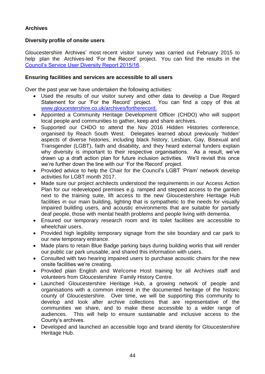## <span id="page-44-0"></span>**Archives**

## **Diversity profile of onsite users**

Gloucestershire Archives' most recent visitor survey was carried out February 2015 to help plan the Archives-led 'For the Record' project. You can find the results in the [Council's Service User Diversity Report 2015/16.](http://www.gloucestershire.gov.uk/CHttpHandler.ashx?id=65349&p=0)

#### **Ensuring facilities and services are accessible to all users**

Over the past year we have undertaken the following activities:

- Used the results of our visitor survey and other data to develop a Due Regard Statement for our 'For the Record' project. You can find a copy of this at [www.gloucestershire.co.uk/archives/fortherecord.](http://www.gloucestershire.co.uk/archives/fortherecord)
- Appointed a Community Heritage Development Officer (CHDO) who will support local people and communities to gather, keep and share archives.
- Supported our CHDO to attend the Nov 2016 Hidden Histories conference, organised by Reach South West. Delegates learned about previously 'hidden' aspects of diverse histories, including black history, Lesbian, Gay, Bisexual and Transgender (LGBT), faith and disability, and they heard external funders explain why diversity is important to their respective organisations. As a result, we've drawn up a draft action plan for future inclusion activities. We'll revisit this once we're further down the line with our 'For the Record' project.
- Provided advice to help the Chair for the Council's LGBT 'Prism' network develop activities for LGBT month 2017.
- Made sure our project architects understood the requirements in our Access Action Plan for our redeveloped premises e.g. ramped and stepped access to the garden next to the training suite, lift access to the new Gloucestershire Heritage Hub facilities in our main building, lighting that is sympathetic to the needs for visually impaired building users, and acoustic environments that are suitable for partially deaf people, those with mental health problems and people living with dementia.
- Ensured our temporary research room and its toilet facilities are accessible to wheelchair users.
- Provided high legibility temporary signage from the site boundary and car park to our new temporary entrance.
- Made plans to retain Blue Badge parking bays during building works that will render our public car park unusable, and shared this information with users.
- Consulted with two hearing impaired users to purchase acoustic chairs for the new onsite facilities we're creating.
- Provided plain English and Welcome Host training for all Archives staff and volunteers from Gloucestershire Family History Centre.
- Launched Gloucestershire Heritage Hub, a growing network of people and organisations with a common interest in the documented heritage of the historic county of Gloucestershire. Over time, we will be supporting this community to develop and look after archive collections that are representative of the communities we share, and to make these accessible to a wider range of audiences. This will help to ensure sustainable and inclusive access to the County's archives.
- Developed and launched an accessible logo and brand identity for Gloucestershire Heritage Hub.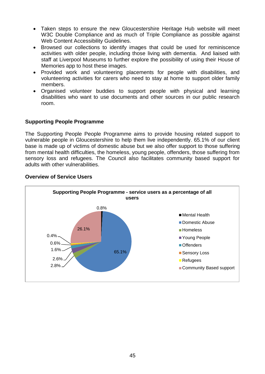- Taken steps to ensure the new Gloucestershire Heritage Hub website will meet W3C Double Compliance and as much of Triple Compliance as possible against Web Content Accessibility Guidelines.
- Browsed our collections to identify images that could be used for reminiscence activities with older people, including those living with dementia. And liaised with staff at Liverpool Museums to further explore the possibility of using their House of Memories app to host these images.
- Provided work and volunteering placements for people with disabilities, and volunteering activities for carers who need to stay at home to support older family members.
- Organised volunteer buddies to support people with physical and learning disabilities who want to use documents and other sources in our public research room.

### <span id="page-45-0"></span>**Supporting People Programme**

The Supporting People People Programme aims to provide housing related support to vulnerable people in Gloucestershire to help them live independently. 65.1% of our client base is made up of victims of domestic abuse but we also offer support to those suffering from mental health difficulties, the homeless, young people, offenders, those suffering from sensory loss and refugees. The Council also facilitates community based support for adults with other vulnerabilities.



## **Overview of Service Users**